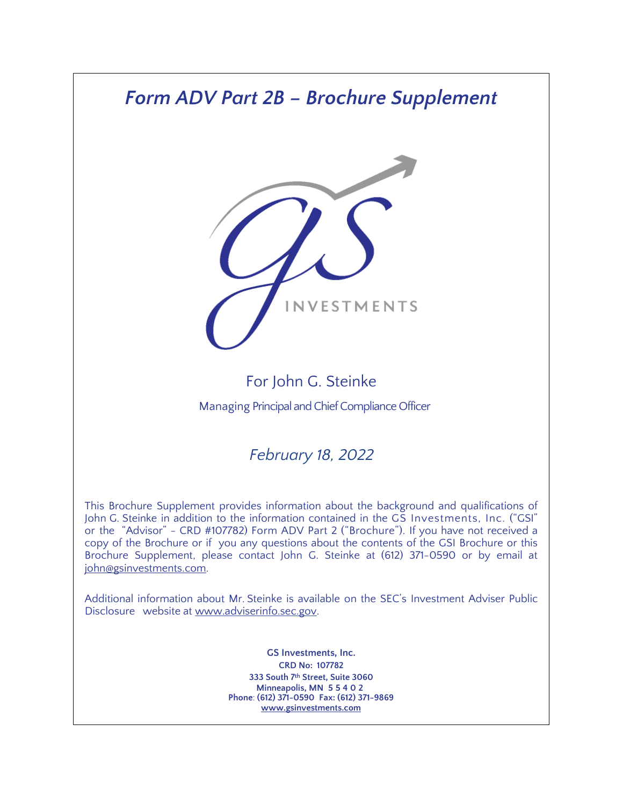# *Form ADV Part 2B – Brochure Supplement*



# For John G. Steinke

Managing Principal and Chief Compliance Officer

# *February 18, 2022*

This Brochure Supplement provides information about the background and qualifications of John G. Steinke in addition to the information contained in the GS Investments, Inc. ("GSI" or the "Advisor" - CRD #107782) Form ADV Part 2 ("Brochure"). If you have not received a copy of the Brochure or if you any questions about the contents of the GSI Brochure or this Brochure Supplement, please contact John G. Steinke at (612) 371-0590 or by email at john@gsinvestments.com.

Additional information about Mr. Steinke is available on the SEC's Investment Adviser Public Disclosure website at [www.adviserinfo.sec.gov.](http://www.adviserinfo.sec.gov/)

> **GS Investments, Inc. CRD No: 107782 333 South 7th Street, Suite 3060 Minneapolis, MN 55402 Phone**: **(612) 371-0590 Fax: (612) 371-9869 [www.gsinvestments.com](http://www.gsinvestments.com/)**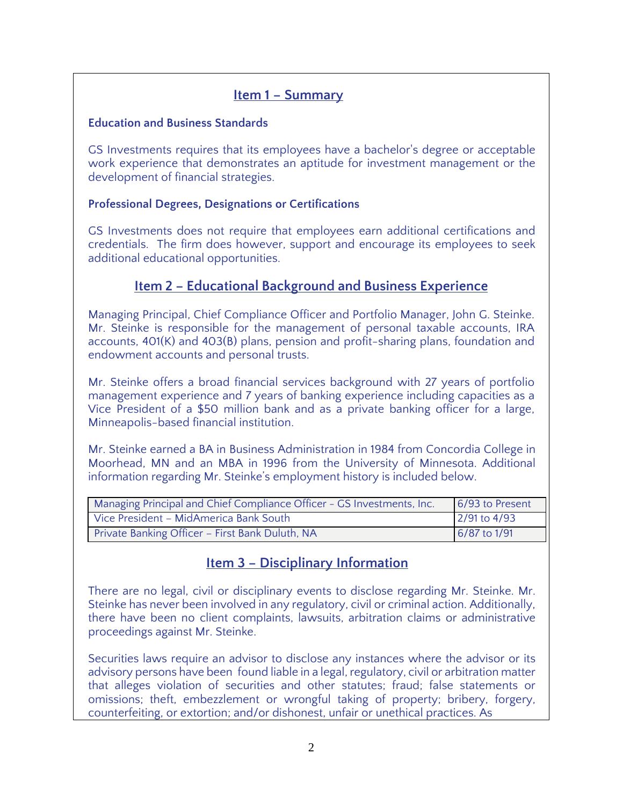#### **Item 1 – Summary**

#### **Education and Business Standards**

GS Investments requires that its employees have a bachelor's degree or acceptable work experience that demonstrates an aptitude for investment management or the development of financial strategies.

#### **Professional Degrees, Designations or Certifications**

GS Investments does not require that employees earn additional certifications and credentials. The firm does however, support and encourage its employees to seek additional educational opportunities.

#### **Item 2 – Educational Background and Business Experience**

Managing Principal, Chief Compliance Officer and Portfolio Manager, John G. Steinke. Mr. Steinke is responsible for the management of personal taxable accounts, IRA accounts, 401(K) and 403(B) plans, pension and profit-sharing plans, foundation and endowment accounts and personal trusts.

Mr. Steinke offers a broad financial services background with 27 years of portfolio management experience and 7 years of banking experience including capacities as a Vice President of a \$50 million bank and as a private banking officer for a large, Minneapolis-based financial institution.

Mr. Steinke earned a BA in Business Administration in 1984 from Concordia College in Moorhead, MN and an MBA in 1996 from the University of Minnesota. Additional information regarding Mr. Steinke's employment history is included below.

| Managing Principal and Chief Compliance Officer - GS Investments, Inc. | 6/93 to Present |
|------------------------------------------------------------------------|-----------------|
| Vice President - MidAmerica Bank South                                 | $2/91$ to 4/93  |
| Private Banking Officer - First Bank Duluth, NA                        | 6/87 to 1/91    |

### **Item 3 – Disciplinary Information**

There are no legal, civil or disciplinary events to disclose regarding Mr. Steinke. Mr. Steinke has never been involved in any regulatory, civil or criminal action. Additionally, there have been no client complaints, lawsuits, arbitration claims or administrative proceedings against Mr. Steinke.

Securities laws require an advisor to disclose any instances where the advisor or its advisory persons have been found liable in a legal, regulatory, civil or arbitration matter that alleges violation of securities and other statutes; fraud; false statements or omissions; theft, embezzlement or wrongful taking of property; bribery, forgery, counterfeiting, or extortion; and/or dishonest, unfair or unethical practices. As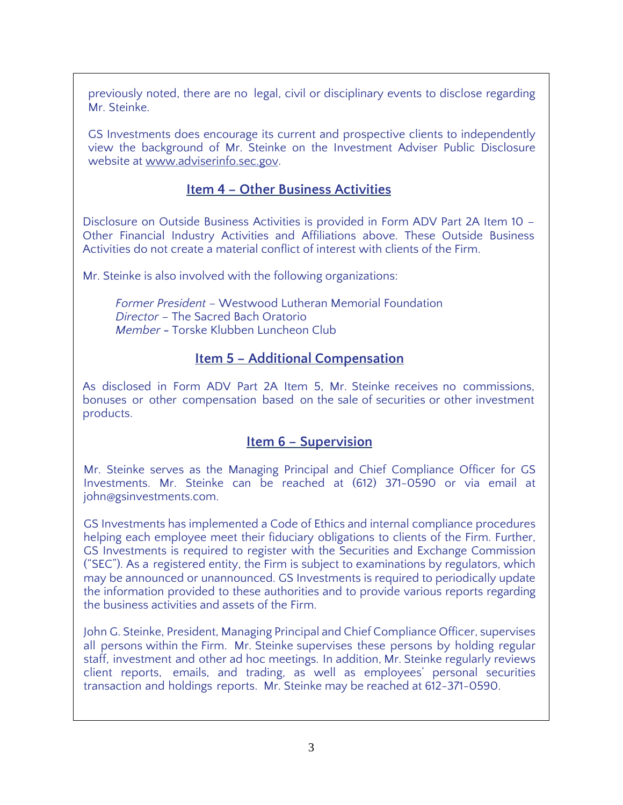previously noted, there are no legal, civil or disciplinary events to disclose regarding Mr. Steinke.

GS Investments does encourage its current and prospective clients to independently view the background of Mr. Steinke on the Investment Adviser Public Disclosure website at [www.adviserinfo.sec.gov.](http://www.adviserinfo.sec.gov/)

### **Item 4 – Other Business Activities**

Disclosure on Outside Business Activities is provided in Form ADV Part 2A Item 10 – Other Financial Industry Activities and Affiliations above. These Outside Business Activities do not create a material conflict of interest with clients of the Firm.

Mr. Steinke is also involved with the following organizations:

*Former President* – Westwood Lutheran Memorial Foundation *Director* – The Sacred Bach Oratorio *Member* **-** Torske Klubben Luncheon Club

### **Item 5 – Additional Compensation**

As disclosed in Form ADV Part 2A Item 5, Mr. Steinke receives no commissions, bonuses or other compensation based on the sale of securities or other investment products.

## **Item 6 – Supervision**

Mr. Steinke serves as the Managing Principal and Chief Compliance Officer for GS Investments. Mr. Steinke can be reached at (612) 371-0590 or via email at john@gsinvestments.com.

GS Investments has implemented a Code of Ethics and internal compliance procedures helping each employee meet their fiduciary obligations to clients of the Firm. Further, GS Investments is required to register with the Securities and Exchange Commission ("SEC"). As a registered entity, the Firm is subject to examinations by regulators, which may be announced or unannounced. GS Investments is required to periodically update the information provided to these authorities and to provide various reports regarding the business activities and assets of the Firm.

John G. Steinke, President, Managing Principal and Chief Compliance Officer, supervises all persons within the Firm. Mr. Steinke supervises these persons by holding regular staff, investment and other ad hoc meetings. In addition, Mr. Steinke regularly reviews client reports, emails, and trading, as well as employees' personal securities transaction and holdings reports. Mr. Steinke may be reached at 612-371-0590.